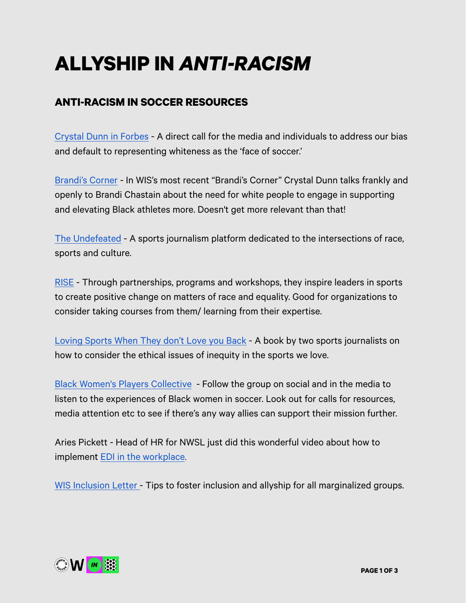# **ALLYSHIP IN** *ANTI-RACISM*

## **ANTI-RACISM IN SOCCER RESOURCES**

[Crystal Dunn in Forbes](https://www.forbes.com/sites/alanaglass/2021/01/25/whats-soccer-pro-crystal-dunns-next-chapter-fighting-for-the-recognition-she-deserves/?sh=2ef2a2077562) - A direct call for the media and individuals to address our bias and default to representing whiteness as the 'face of soccer.'

[Brandi's Corner](https://www.youtube.com/watch?v=PUSpEADai2A) - In WIS's most recent "Brandi's Corner" Crystal Dunn talks frankly and openly to Brandi Chastain about the need for white people to engage in supporting and elevating Black athletes more. Doesn't get more relevant than that!

[The Undefeated](https://theundefeated.com/sports/) - A sports journalism platform dedicated to the intersections of race, sports and culture.

[RISE](https://risetowin.org/who-we-are/index.html%23mission) - Through partnerships, programs and workshops, they inspire leaders in sports to create positive change on matters of race and equality. Good for organizations to consider taking courses from them/ learning from their expertise.

[Loving Sports When They don't Love you Back](https://www.texasmonthly.com/the-culture/loving-sports-when-they-dont-love-you-back-is-an-ethical-guide-for-fans/) - A book by two sports journalists on how to consider the ethical issues of inequity in the sports we love.

[Black Women's Players Collective](https://www.allforxi.com/2020/11/12/21562673/lynn-williams-black-womens-player-collective-ready-for-change) - Follow the group on social and in the media to listen to the experiences of Black women in soccer. Look out for calls for resources, media attention etc to see if there's any way allies can support their mission further.

Aries Pickett - Head of HR for NWSL just did this wonderful video about how to implement [EDI in the workplace](https://www.instagram.com/tv/CLKqyfTnc6h/?utm_source=ig_web_copy_link).

[WIS Inclusion Letter -](https://womeninsoccer.org/dear-members-wis-inclusion-letter/) Tips to foster inclusion and allyship for all marginalized groups.

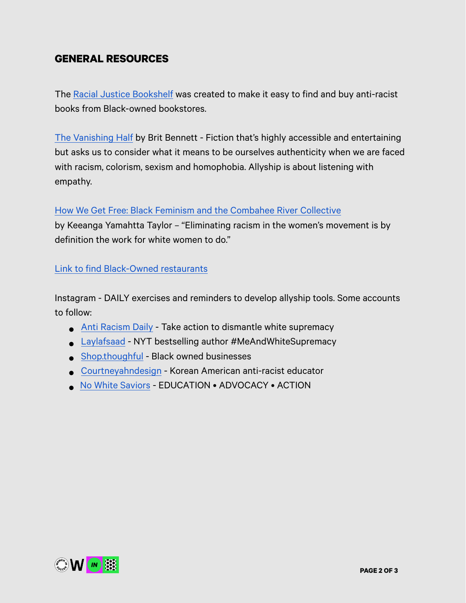### **GENERAL RESOURCES**

The [Racial Justice Bookshelf](https://www.racialjusticebookshelf.com/book/how-we-get-free) was created to make it easy to find and buy anti-racist books from Black-owned bookstores.

[The Vanishing Half](https://www.racialjusticebookshelf.com/book/the-vanishing-half) by Brit Bennett - Fiction that's highly accessible and entertaining but asks us to consider what it means to be ourselves authenticity when we are faced with racism, colorism, sexism and homophobia. Allyship is about listening with empathy.

#### [How We Get Free: Black Feminism and the Combahee River Collective](https://www.racialjusticebookshelf.com/book/how-we-get-free)

by Keeanga Yamahtta Taylor – "Eliminating racism in the women's movement is by definition the work for white women to do."

#### [Link to find Black-Owned restaurants](https://www.delish.com/food-news/a32744504/black-owned-restaurants-near-me/)

Instagram - DAILY exercises and reminders to develop allyship tools. Some accounts to follow:

- [Anti Racism Daily](https://www.instagram.com/antiracismdaily/) Take action to dismantle white supremacy
- [Laylafsaad](https://www.instagram.com/laylafsaad/)  NYT bestselling author #MeAndWhiteSupremacy
- [Shop.thoughful](https://www.instagram.com/shop.thoughtful/) Black owned businesses
- [Courtneyahndesign](https://www.instagram.com/p/CHgzEbthdho/) Korean American anti-racist educator
- [No White Saviors](https://www.instagram.com/nowhitesaviors/)  EDUCATION ADVOCACY ACTION